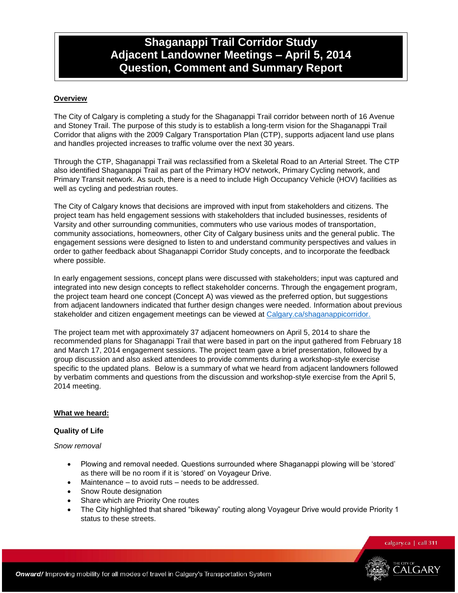# **Shaganappi Trail Corridor Study Adjacent Landowner Meetings – April 5, 2014 Question, Comment and Summary Report**

## **Overview**

The City of Calgary is completing a study for the Shaganappi Trail corridor between north of 16 Avenue and Stoney Trail. The purpose of this study is to establish a long-term vision for the Shaganappi Trail Corridor that aligns with the 2009 Calgary Transportation Plan (CTP), supports adjacent land use plans and handles projected increases to traffic volume over the next 30 years.

Through the CTP, Shaganappi Trail was reclassified from a Skeletal Road to an Arterial Street. The CTP also identified Shaganappi Trail as part of the Primary HOV network, Primary Cycling network, and Primary Transit network. As such, there is a need to include High Occupancy Vehicle (HOV) facilities as well as cycling and pedestrian routes.

The City of Calgary knows that decisions are improved with input from stakeholders and citizens. The project team has held engagement sessions with stakeholders that included businesses, residents of Varsity and other surrounding communities, commuters who use various modes of transportation, community associations, homeowners, other City of Calgary business units and the general public. The engagement sessions were designed to listen to and understand community perspectives and values in order to gather feedback about Shaganappi Corridor Study concepts, and to incorporate the feedback where possible.

In early engagement sessions, concept plans were discussed with stakeholders; input was captured and integrated into new design concepts to reflect stakeholder concerns. Through the engagement program, the project team heard one concept (Concept A) was viewed as the preferred option, but suggestions from adjacent landowners indicated that further design changes were needed. Information about previous stakeholder and citizen engagement meetings can be viewed at [Calgary.ca/shaganappicorridor.](http://www.calgary.ca/Transportation/TP/Pages/Projects/Current-Planning-Projects/Shaganappi-Trail-Corridor-and-HOV-Study.aspx)

The project team met with approximately 37 adjacent homeowners on April 5, 2014 to share the recommended plans for Shaganappi Trail that were based in part on the input gathered from February 18 and March 17, 2014 engagement sessions. The project team gave a brief presentation, followed by a group discussion and also asked attendees to provide comments during a workshop-style exercise specific to the updated plans. Below is a summary of what we heard from adjacent landowners followed by verbatim comments and questions from the discussion and workshop-style exercise from the April 5, 2014 meeting.

#### **What we heard:**

#### **Quality of Life**

*Snow removal*

- Plowing and removal needed. Questions surrounded where Shaganappi plowing will be "stored" as there will be no room if it is "stored" on Voyageur Drive.
- Maintenance to avoid ruts needs to be addressed.
- Snow Route designation
- Share which are Priority One routes
- The City highlighted that shared "bikeway" routing along Voyageur Drive would provide Priority 1 status to these streets.

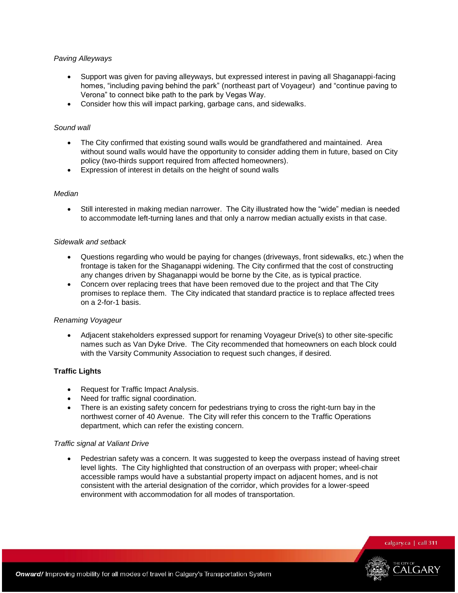#### *Paving Alleyways*

- Support was given for paving alleyways, but expressed interest in paving all Shaganappi-facing homes, "including paving behind the park" (northeast part of Voyageur) and "continue paving to Verona" to connect bike path to the park by Vegas Way.
- Consider how this will impact parking, garbage cans, and sidewalks.

#### *Sound wall*

- The City confirmed that existing sound walls would be grandfathered and maintained. Area without sound walls would have the opportunity to consider adding them in future, based on City policy (two-thirds support required from affected homeowners).
- Expression of interest in details on the height of sound walls

#### *Median*

 Still interested in making median narrower. The City illustrated how the "wide" median is needed to accommodate left-turning lanes and that only a narrow median actually exists in that case.

#### *Sidewalk and setback*

- Questions regarding who would be paying for changes (driveways, front sidewalks, etc.) when the frontage is taken for the Shaganappi widening. The City confirmed that the cost of constructing any changes driven by Shaganappi would be borne by the Cite, as is typical practice.
- Concern over replacing trees that have been removed due to the project and that The City promises to replace them. The City indicated that standard practice is to replace affected trees on a 2-for-1 basis.

#### *Renaming Voyageur*

 Adjacent stakeholders expressed support for renaming Voyageur Drive(s) to other site-specific names such as Van Dyke Drive. The City recommended that homeowners on each block could with the Varsity Community Association to request such changes, if desired.

## **Traffic Lights**

- Request for Traffic Impact Analysis.
- Need for traffic signal coordination.
- There is an existing safety concern for pedestrians trying to cross the right-turn bay in the northwest corner of 40 Avenue. The City will refer this concern to the Traffic Operations department, which can refer the existing concern.

#### *Traffic signal at Valiant Drive*

 Pedestrian safety was a concern. It was suggested to keep the overpass instead of having street level lights. The City highlighted that construction of an overpass with proper; wheel-chair accessible ramps would have a substantial property impact on adjacent homes, and is not consistent with the arterial designation of the corridor, which provides for a lower-speed environment with accommodation for all modes of transportation.

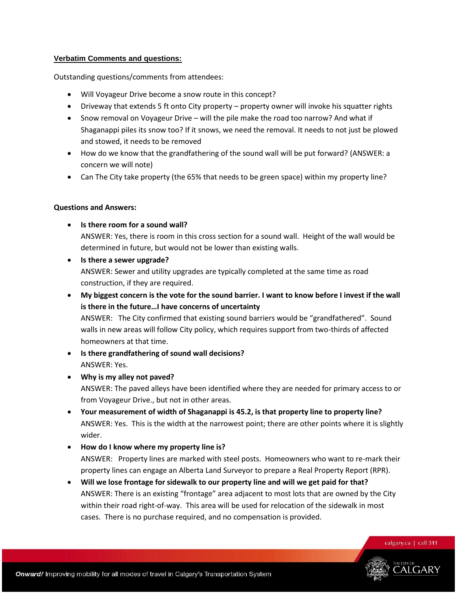## **Verbatim Comments and questions:**

Outstanding questions/comments from attendees:

- Will Voyageur Drive become a snow route in this concept?
- Driveway that extends 5 ft onto City property property owner will invoke his squatter rights
- Snow removal on Voyageur Drive will the pile make the road too narrow? And what if Shaganappi piles its snow too? If it snows, we need the removal. It needs to not just be plowed and stowed, it needs to be removed
- How do we know that the grandfathering of the sound wall will be put forward? (ANSWER: a concern we will note)
- Can The City take property (the 65% that needs to be green space) within my property line?

#### **Questions and Answers:**

- **Is there room for a sound wall?** ANSWER: Yes, there is room in this cross section for a sound wall. Height of the wall would be determined in future, but would not be lower than existing walls.
- **Is there a sewer upgrade?** ANSWER: Sewer and utility upgrades are typically completed at the same time as road construction, if they are required.
- **My biggest concern is the vote for the sound barrier. I want to know before I invest if the wall is there in the future…I have concerns of uncertainty** ANSWER: The City confirmed that existing sound barriers would be "grandfathered". Sound walls in new areas will follow City policy, which requires support from two-thirds of affected homeowners at that time.
- **Is there grandfathering of sound wall decisions?** ANSWER: Yes.
- **Why is my alley not paved?**

ANSWER: The paved alleys have been identified where they are needed for primary access to or from Voyageur Drive., but not in other areas.

- **Your measurement of width of Shaganappi is 45.2, is that property line to property line?** ANSWER: Yes. This is the width at the narrowest point; there are other points where it is slightly wider.
- **How do I know where my property line is?** ANSWER: Property lines are marked with steel posts. Homeowners who want to re-mark their property lines can engage an Alberta Land Surveyor to prepare a Real Property Report (RPR).
- **Will we lose frontage for sidewalk to our property line and will we get paid for that?** ANSWER: There is an existing "frontage" area adjacent to most lots that are owned by the City within their road right-of-way. This area will be used for relocation of the sidewalk in most cases. There is no purchase required, and no compensation is provided.

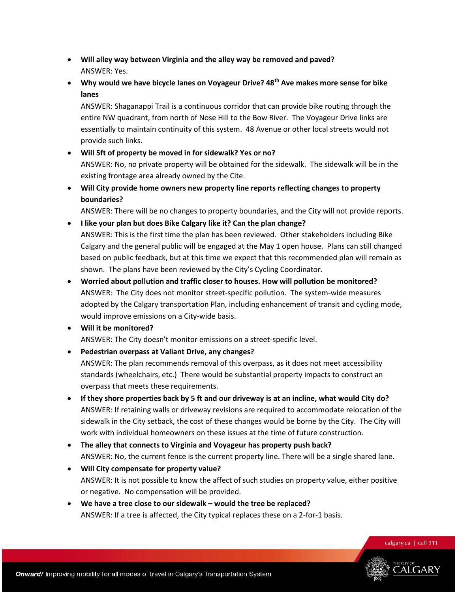- **Will alley way between Virginia and the alley way be removed and paved?** ANSWER: Yes.
- **Why would we have bicycle lanes on Voyageur Drive? 48th Ave makes more sense for bike lanes**

ANSWER: Shaganappi Trail is a continuous corridor that can provide bike routing through the entire NW quadrant, from north of Nose Hill to the Bow River. The Voyageur Drive links are essentially to maintain continuity of this system. 48 Avenue or other local streets would not provide such links.

- **Will 5ft of property be moved in for sidewalk? Yes or no?** ANSWER: No, no private property will be obtained for the sidewalk. The sidewalk will be in the existing frontage area already owned by the Cite.
- **Will City provide home owners new property line reports reflecting changes to property boundaries?**

ANSWER: There will be no changes to property boundaries, and the City will not provide reports.

- **I like your plan but does Bike Calgary like it? Can the plan change?** ANSWER: This is the first time the plan has been reviewed. Other stakeholders including Bike Calgary and the general public will be engaged at the May 1 open house. Plans can still changed based on public feedback, but at this time we expect that this recommended plan will remain as shown. The plans have been reviewed by the City's Cycling Coordinator.
- **Worried about pollution and traffic closer to houses. How will pollution be monitored?** ANSWER: The City does not monitor street-specific pollution. The system-wide measures adopted by the Calgary transportation Plan, including enhancement of transit and cycling mode, would improve emissions on a City-wide basis.
- **Will it be monitored?**

ANSWER: The City doesn't monitor emissions on a street-specific level.

**Pedestrian overpass at Valiant Drive, any changes?**

ANSWER: The plan recommends removal of this overpass, as it does not meet accessibility standards (wheelchairs, etc.) There would be substantial property impacts to construct an overpass that meets these requirements.

- **If they shore properties back by 5 ft and our driveway is at an incline, what would City do?** ANSWER: If retaining walls or driveway revisions are required to accommodate relocation of the sidewalk in the City setback, the cost of these changes would be borne by the City. The City will work with individual homeowners on these issues at the time of future construction.
- **The alley that connects to Virginia and Voyageur has property push back?** ANSWER: No, the current fence is the current property line. There will be a single shared lane.
- **Will City compensate for property value?** ANSWER: It is not possible to know the affect of such studies on property value, either positive or negative. No compensation will be provided.
- **We have a tree close to our sidewalk – would the tree be replaced?** ANSWER: If a tree is affected, the City typical replaces these on a 2-for-1 basis.

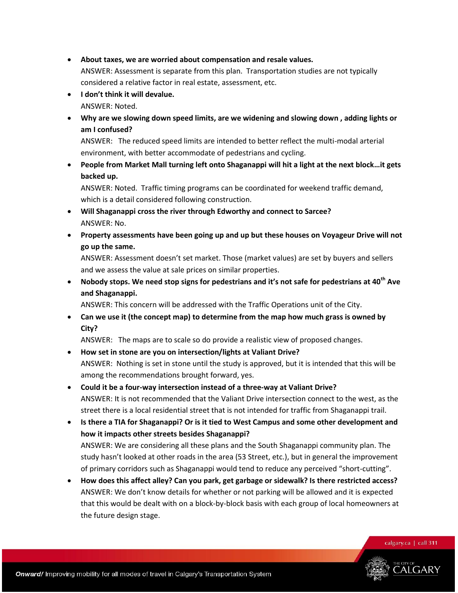- **About taxes, we are worried about compensation and resale values.** ANSWER: Assessment is separate from this plan. Transportation studies are not typically considered a relative factor in real estate, assessment, etc.
- **I don't think it will devalue.** ANSWER: Noted.
- **Why are we slowing down speed limits, are we widening and slowing down , adding lights or am I confused?**

ANSWER: The reduced speed limits are intended to better reflect the multi-modal arterial environment, with better accommodate of pedestrians and cycling.

 **People from Market Mall turning left onto Shaganappi will hit a light at the next block…it gets backed up.**

ANSWER: Noted. Traffic timing programs can be coordinated for weekend traffic demand, which is a detail considered following construction.

- **Will Shaganappi cross the river through Edworthy and connect to Sarcee?** ANSWER: No.
- **Property assessments have been going up and up but these houses on Voyageur Drive will not go up the same.**

ANSWER: Assessment doesn't set market. Those (market values) are set by buyers and sellers and we assess the value at sale prices on similar properties.

 **Nobody stops. We need stop signs for pedestrians and it's not safe for pedestrians at 40th Ave and Shaganappi.**

ANSWER: This concern will be addressed with the Traffic Operations unit of the City.

 **Can we use it (the concept map) to determine from the map how much grass is owned by City?**

ANSWER: The maps are to scale so do provide a realistic view of proposed changes.

- **How set in stone are you on intersection/lights at Valiant Drive?** ANSWER: Nothing is set in stone until the study is approved, but it is intended that this will be among the recommendations brought forward, yes.
- **Could it be a four-way intersection instead of a three-way at Valiant Drive?** ANSWER: It is not recommended that the Valiant Drive intersection connect to the west, as the street there is a local residential street that is not intended for traffic from Shaganappi trail.
- **Is there a TIA for Shaganappi? Or is it tied to West Campus and some other development and how it impacts other streets besides Shaganappi?** ANSWER: We are considering all these plans and the South Shaganappi community plan. The study hasn't looked at other roads in the area (53 Street, etc.), but in general the improvement of primary corridors such as Shaganappi would tend to reduce any perceived "short-cutting".
- **How does this affect alley? Can you park, get garbage or sidewalk? Is there restricted access?** ANSWER: We don't know details for whether or not parking will be allowed and it is expected that this would be dealt with on a block-by-block basis with each group of local homeowners at the future design stage.

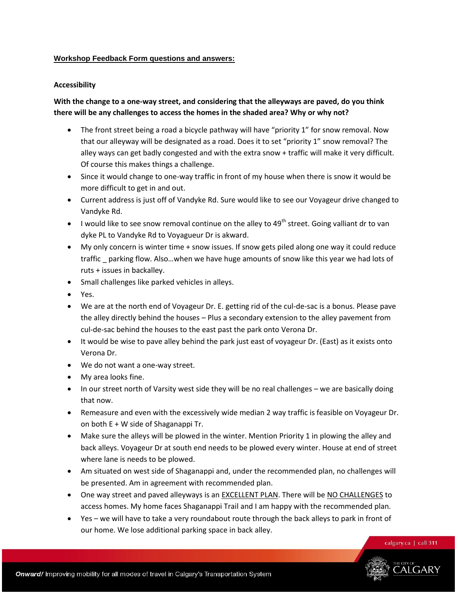#### **Workshop Feedback Form questions and answers:**

#### **Accessibility**

# **With the change to a one-way street, and considering that the alleyways are paved, do you think there will be any challenges to access the homes in the shaded area? Why or why not?**

- The front street being a road a bicycle pathway will have "priority 1" for snow removal. Now that our alleyway will be designated as a road. Does it to set "priority 1" snow removal? The alley ways can get badly congested and with the extra snow + traffic will make it very difficult. Of course this makes things a challenge.
- Since it would change to one-way traffic in front of my house when there is snow it would be more difficult to get in and out.
- Current address is just off of Vandyke Rd. Sure would like to see our Voyageur drive changed to Vandyke Rd.
- I would like to see snow removal continue on the alley to  $49^{th}$  street. Going valliant dr to van dyke PL to Vandyke Rd to Voyagueur Dr is akward.
- My only concern is winter time + snow issues. If snow gets piled along one way it could reduce traffic \_ parking flow. Also…when we have huge amounts of snow like this year we had lots of ruts + issues in backalley.
- Small challenges like parked vehicles in alleys.
- Yes.
- We are at the north end of Voyageur Dr. E. getting rid of the cul-de-sac is a bonus. Please pave the alley directly behind the houses – Plus a secondary extension to the alley pavement from cul-de-sac behind the houses to the east past the park onto Verona Dr.
- It would be wise to pave alley behind the park just east of voyageur Dr. (East) as it exists onto Verona Dr.
- We do not want a one-way street.
- My area looks fine.
- In our street north of Varsity west side they will be no real challenges we are basically doing that now.
- Remeasure and even with the excessively wide median 2 way traffic is feasible on Voyageur Dr. on both E + W side of Shaganappi Tr.
- Make sure the alleys will be plowed in the winter. Mention Priority 1 in plowing the alley and back alleys. Voyageur Dr at south end needs to be plowed every winter. House at end of street where lane is needs to be plowed.
- Am situated on west side of Shaganappi and, under the recommended plan, no challenges will be presented. Am in agreement with recommended plan.
- One way street and paved alleyways is an EXCELLENT PLAN. There will be NO CHALLENGES to access homes. My home faces Shaganappi Trail and I am happy with the recommended plan.
- Yes we will have to take a very roundabout route through the back alleys to park in front of our home. We lose additional parking space in back alley.

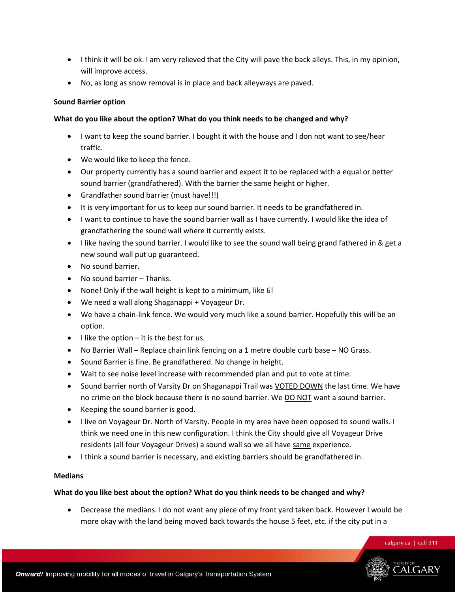- I think it will be ok. I am very relieved that the City will pave the back alleys. This, in my opinion, will improve access.
- No, as long as snow removal is in place and back alleyways are paved.

# **Sound Barrier option**

# **What do you like about the option? What do you think needs to be changed and why?**

- I want to keep the sound barrier. I bought it with the house and I don not want to see/hear traffic.
- We would like to keep the fence.
- Our property currently has a sound barrier and expect it to be replaced with a equal or better sound barrier (grandfathered). With the barrier the same height or higher.
- Grandfather sound barrier (must have!!!)
- It is very important for us to keep our sound barrier. It needs to be grandfathered in.
- I want to continue to have the sound barrier wall as I have currently. I would like the idea of grandfathering the sound wall where it currently exists.
- I like having the sound barrier. I would like to see the sound wall being grand fathered in & get a new sound wall put up guaranteed.
- No sound barrier.
- No sound barrier Thanks.
- None! Only if the wall height is kept to a minimum, like 6!
- We need a wall along Shaganappi + Voyageur Dr.
- We have a chain-link fence. We would very much like a sound barrier. Hopefully this will be an option.
- $\bullet$  I like the option it is the best for us.
- No Barrier Wall Replace chain link fencing on a 1 metre double curb base NO Grass.
- Sound Barrier is fine. Be grandfathered. No change in height.
- Wait to see noise level increase with recommended plan and put to vote at time.
- Sound barrier north of Varsity Dr on Shaganappi Trail was VOTED DOWN the last time. We have no crime on the block because there is no sound barrier. We **DO NOT** want a sound barrier.
- Keeping the sound barrier is good.
- I live on Voyageur Dr. North of Varsity. People in my area have been opposed to sound walls. I think we need one in this new configuration. I think the City should give all Voyageur Drive residents (all four Voyageur Drives) a sound wall so we all have same experience.
- I think a sound barrier is necessary, and existing barriers should be grandfathered in.

# **Medians**

# **What do you like best about the option? What do you think needs to be changed and why?**

 Decrease the medians. I do not want any piece of my front yard taken back. However I would be more okay with the land being moved back towards the house 5 feet, etc. if the city put in a

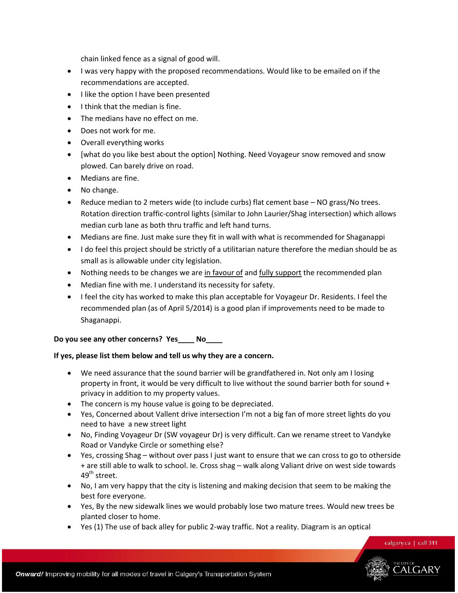chain linked fence as a signal of good will.

- I was very happy with the proposed recommendations. Would like to be emailed on if the recommendations are accepted.
- I like the option I have been presented
- $\bullet$  I think that the median is fine.
- The medians have no effect on me.
- Does not work for me.
- Overall everything works
- [what do you like best about the option] Nothing. Need Voyageur snow removed and snow plowed. Can barely drive on road.
- Medians are fine.
- No change.
- Reduce median to 2 meters wide (to include curbs) flat cement base NO grass/No trees. Rotation direction traffic-control lights (similar to John Laurier/Shag intersection) which allows median curb lane as both thru traffic and left hand turns.
- Medians are fine. Just make sure they fit in wall with what is recommended for Shaganappi
- I do feel this project should be strictly of a utilitarian nature therefore the median should be as small as is allowable under city legislation.
- Nothing needs to be changes we are in favour of and fully support the recommended plan
- Median fine with me. I understand its necessity for safety.
- I feel the city has worked to make this plan acceptable for Voyageur Dr. Residents. I feel the recommended plan (as of April 5/2014) is a good plan if improvements need to be made to Shaganappi.

## **Do you see any other concerns? Yes\_\_\_\_ No\_\_\_\_**

## **If yes, please list them below and tell us why they are a concern.**

- We need assurance that the sound barrier will be grandfathered in. Not only am I losing property in front, it would be very difficult to live without the sound barrier both for sound + privacy in addition to my property values.
- The concern is my house value is going to be depreciated.
- Yes, Concerned about Vallent drive intersection I'm not a big fan of more street lights do you need to have a new street light
- No, Finding Voyageur Dr (SW voyageur Dr) is very difficult. Can we rename street to Vandyke Road or Vandyke Circle or something else?
- Yes, crossing Shag without over pass I just want to ensure that we can cross to go to otherside + are still able to walk to school. Ie. Cross shag – walk along Valiant drive on west side towards  $49^{\text{th}}$  street.
- No, I am very happy that the city is listening and making decision that seem to be making the best fore everyone.
- Yes, By the new sidewalk lines we would probably lose two mature trees. Would new trees be planted closer to home.
- Yes (1) The use of back alley for public 2-way traffic. Not a reality. Diagram is an optical

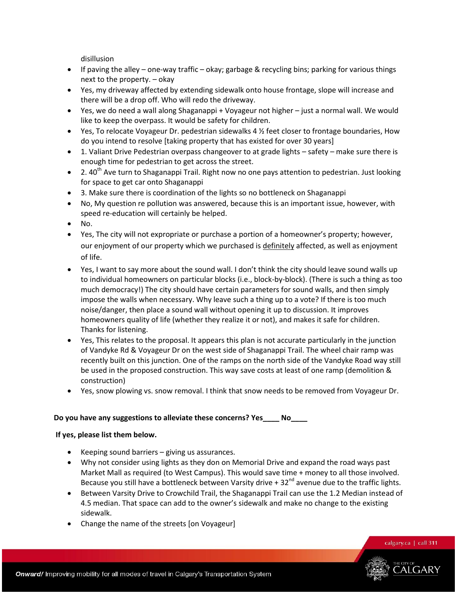disillusion

- If paving the alley one-way traffic okay; garbage & recycling bins; parking for various things next to the property. – okay
- Yes, my driveway affected by extending sidewalk onto house frontage, slope will increase and there will be a drop off. Who will redo the driveway.
- Yes, we do need a wall along Shaganappi + Voyageur not higher just a normal wall. We would like to keep the overpass. It would be safety for children.
- $\bullet$  Yes, To relocate Voyageur Dr. pedestrian sidewalks 4  $\frac{1}{2}$  feet closer to frontage boundaries, How do you intend to resolve [taking property that has existed for over 30 years]
- 1. Valiant Drive Pedestrian overpass changeover to at grade lights safety make sure there is enough time for pedestrian to get across the street.
- $\bullet$  2. 40<sup>th</sup> Ave turn to Shaganappi Trail. Right now no one pays attention to pedestrian. Just looking for space to get car onto Shaganappi
- 3. Make sure there is coordination of the lights so no bottleneck on Shaganappi
- No, My question re pollution was answered, because this is an important issue, however, with speed re-education will certainly be helped.
- $\bullet$  No.
- Yes, The city will not expropriate or purchase a portion of a homeowner's property; however, our enjoyment of our property which we purchased is definitely affected, as well as enjoyment of life.
- Yes, I want to say more about the sound wall. I don't think the city should leave sound walls up to individual homeowners on particular blocks (i.e., block-by-block). (There is such a thing as too much democracy!) The city should have certain parameters for sound walls, and then simply impose the walls when necessary. Why leave such a thing up to a vote? If there is too much noise/danger, then place a sound wall without opening it up to discussion. It improves homeowners quality of life (whether they realize it or not), and makes it safe for children. Thanks for listening.
- Yes, This relates to the proposal. It appears this plan is not accurate particularly in the junction of Vandyke Rd & Voyageur Dr on the west side of Shaganappi Trail. The wheel chair ramp was recently built on this junction. One of the ramps on the north side of the Vandyke Road way still be used in the proposed construction. This way save costs at least of one ramp (demolition & construction)
- Yes, snow plowing vs. snow removal. I think that snow needs to be removed from Voyageur Dr.

## **Do you have any suggestions to alleviate these concerns? Yes\_\_\_\_ No\_\_\_\_**

## **If yes, please list them below.**

- Keeping sound barriers giving us assurances.
- Why not consider using lights as they don on Memorial Drive and expand the road ways past Market Mall as required (to West Campus). This would save time + money to all those involved. Because you still have a bottleneck between Varsity drive  $+32<sup>nd</sup>$  avenue due to the traffic lights.
- Between Varsity Drive to Crowchild Trail, the Shaganappi Trail can use the 1.2 Median instead of 4.5 median. That space can add to the owner's sidewalk and make no change to the existing sidewalk.
- Change the name of the streets [on Voyageur]